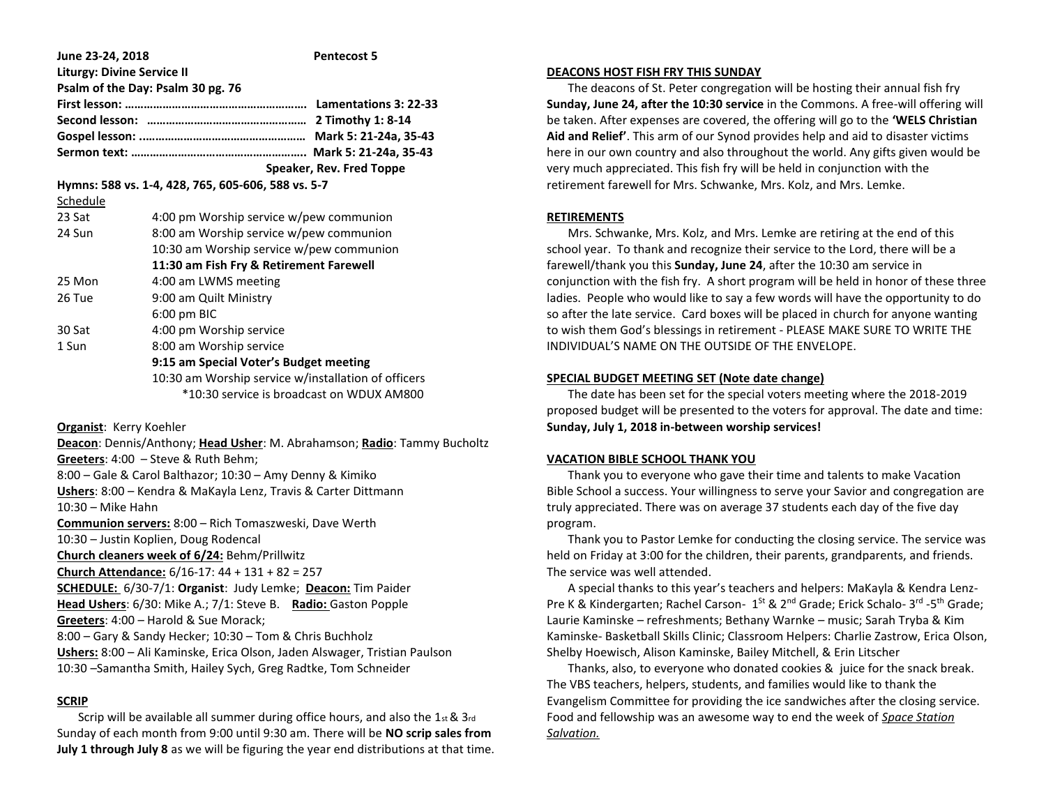| June 23-24, 2018                  | <b>Pentecost 5</b>                                  |
|-----------------------------------|-----------------------------------------------------|
| <b>Liturgy: Divine Service II</b> |                                                     |
|                                   | Psalm of the Day: Psalm 30 pg. 76                   |
|                                   |                                                     |
|                                   |                                                     |
|                                   |                                                     |
|                                   |                                                     |
|                                   | Speaker, Rev. Fred Toppe                            |
|                                   | Hymns: 588 vs. 1-4, 428, 765, 605-606, 588 vs. 5-7  |
| Schedule                          |                                                     |
| 23 Sat                            | 4:00 pm Worship service w/pew communion             |
| 24 Sun                            | 8:00 am Worship service w/pew communion             |
|                                   | 10:30 am Worship service w/pew communion            |
|                                   | 11:30 am Fish Fry & Retirement Farewell             |
| 25 Mon                            | 4:00 am LWMS meeting                                |
| 26 Tue                            | 9:00 am Quilt Ministry                              |
|                                   | $6:00$ pm BIC                                       |
| 30 Sat                            | 4:00 pm Worship service                             |
| 1 Sun                             | 8:00 am Worship service                             |
|                                   | 9:15 am Special Voter's Budget meeting              |
|                                   | 10:30 am Worship service w/installation of officers |
|                                   | *10:30 service is broadcast on WDUX AM800           |
|                                   |                                                     |

**Organist**: Kerry Koehler

**Deacon**: Dennis/Anthony; **Head Usher**: M. Abrahamson; **Radio**: Tammy Bucholtz **Greeters**: 4:00 – Steve & Ruth Behm; 8:00 – Gale & Carol Balthazor; 10:30 – Amy Denny & Kimiko **Ushers**: 8:00 – Kendra & MaKayla Lenz, Travis & Carter Dittmann 10:30 – Mike Hahn **Communion servers:** 8:00 – Rich Tomaszweski, Dave Werth 10:30 – Justin Koplien, Doug Rodencal **Church cleaners week of 6/24:** Behm/Prillwitz **Church Attendance:** 6/16-17: 44 + 131 + 82 = 257 **SCHEDULE:** 6/30-7/1: **Organist**: Judy Lemke; **Deacon:** Tim Paider **Head Ushers**: 6/30: Mike A.; 7/1: Steve B. **Radio:** Gaston Popple **Greeters**: 4:00 – Harold & Sue Morack; 8:00 – Gary & Sandy Hecker; 10:30 – Tom & Chris Buchholz **Ushers:** 8:00 – Ali Kaminske, Erica Olson, Jaden Alswager, Tristian Paulson 10:30 –Samantha Smith, Hailey Sych, Greg Radtke, Tom Schneider

# **SCRIP**

 Scrip will be available all summer during office hours, and also the 1st & 3rd Sunday of each month from 9:00 until 9:30 am. There will be **NO scrip sales from July 1 through July 8** as we will be figuring the year end distributions at that time.

### **DEACONS HOST FISH FRY THIS SUNDAY**

 The deacons of St. Peter congregation will be hosting their annual fish fry **Sunday, June 24, after the 10:30 service** in the Commons. A free-will offering will be taken. After expenses are covered, the offering will go to the **'WELS Christian Aid and Relief'**. This arm of our Synod provides help and aid to disaster victims here in our own country and also throughout the world. Any gifts given would be very much appreciated. This fish fry will be held in conjunction with the retirement farewell for Mrs. Schwanke, Mrs. Kolz, and Mrs. Lemke.

## **RETIREMENTS**

 Mrs. Schwanke, Mrs. Kolz, and Mrs. Lemke are retiring at the end of this school year. To thank and recognize their service to the Lord, there will be a farewell/thank you this **Sunday, June 24**, after the 10:30 am service in conjunction with the fish fry. A short program will be held in honor of these three ladies. People who would like to say a few words will have the opportunity to do so after the late service. Card boxes will be placed in church for anyone wanting to wish them God's blessings in retirement - PLEASE MAKE SURE TO WRITE THE INDIVIDUAL'S NAME ON THE OUTSIDE OF THE ENVELOPE.

## **SPECIAL BUDGET MEETING SET (Note date change)**

 The date has been set for the special voters meeting where the 2018-2019 proposed budget will be presented to the voters for approval. The date and time: **Sunday, July 1, 2018 in-between worship services!**

## **VACATION BIBLE SCHOOL THANK YOU**

 Thank you to everyone who gave their time and talents to make Vacation Bible School a success. Your willingness to serve your Savior and congregation are truly appreciated. There was on average 37 students each day of the five day program.

 Thank you to Pastor Lemke for conducting the closing service. The service was held on Friday at 3:00 for the children, their parents, grandparents, and friends. The service was well attended.

 A special thanks to this year's teachers and helpers: MaKayla & Kendra Lenz-Pre K & Kindergarten; Rachel Carson- 1<sup>st</sup> & 2<sup>nd</sup> Grade; Erick Schalo- 3<sup>rd</sup> -5<sup>th</sup> Grade; Laurie Kaminske – refreshments; Bethany Warnke – music; Sarah Tryba & Kim Kaminske- Basketball Skills Clinic; Classroom Helpers: Charlie Zastrow, Erica Olson, Shelby Hoewisch, Alison Kaminske, Bailey Mitchell, & Erin Litscher

 Thanks, also, to everyone who donated cookies & juice for the snack break. The VBS teachers, helpers, students, and families would like to thank the Evangelism Committee for providing the ice sandwiches after the closing service. Food and fellowship was an awesome way to end the week of *Space Station Salvation.*